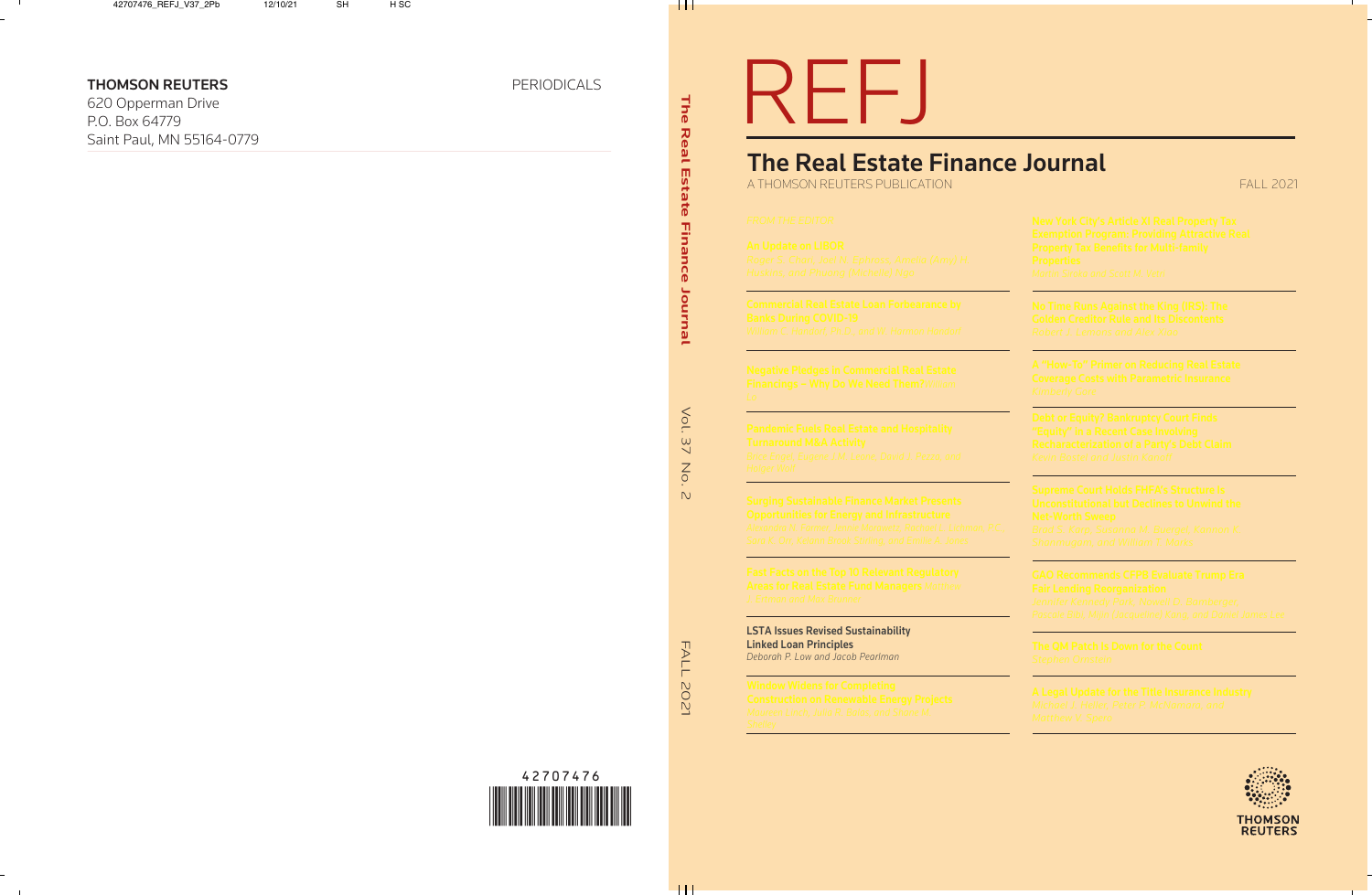**FALL 2021** 

| <b>LSTA Issues Revised Sustainability</b> |
|-------------------------------------------|
| <b>Linked Loan Principles</b>             |
| Deborah P. Low and Jacob Pearlman         |



. . .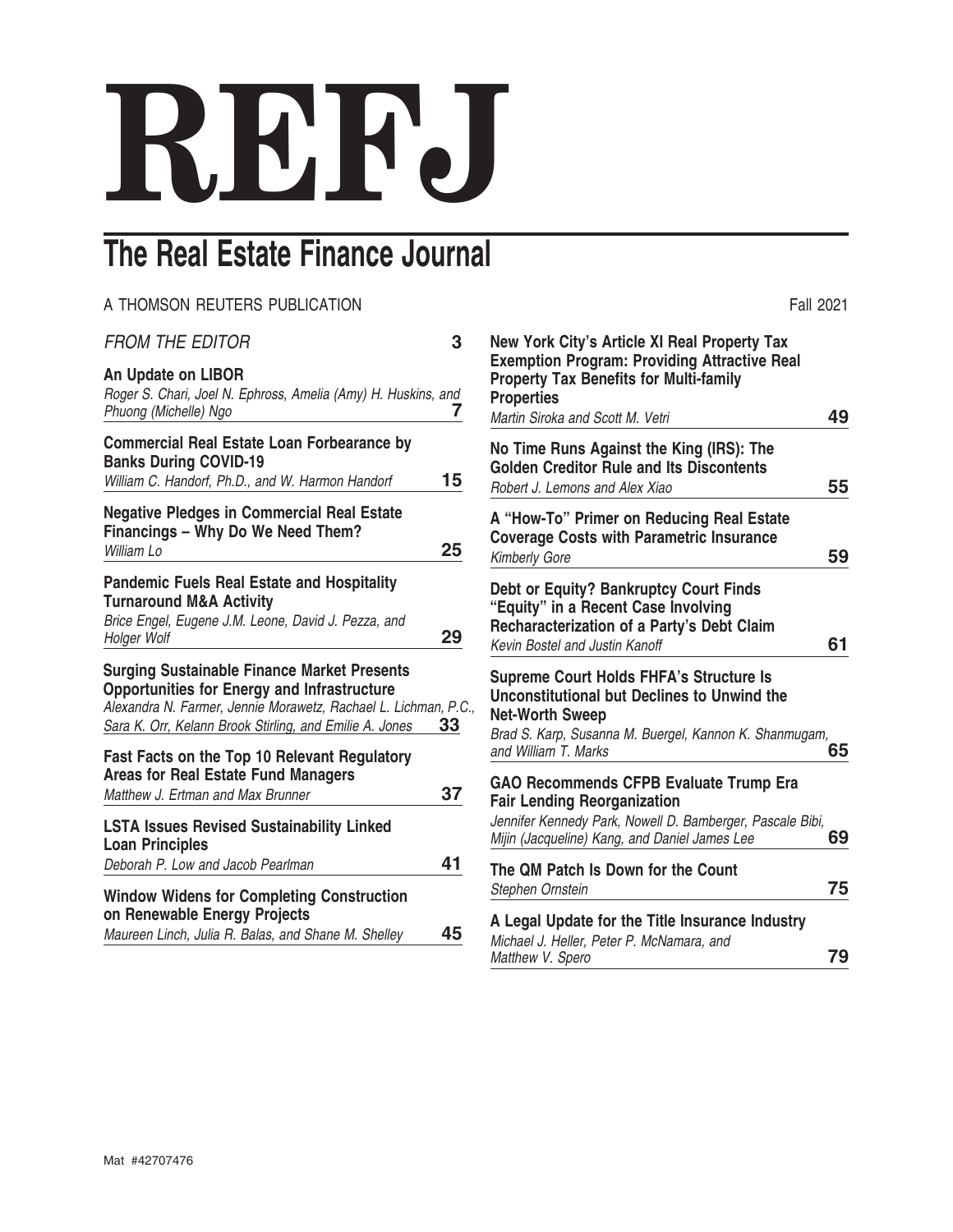# **REFJ**

# **The Real Estate Finance Journal**

| 3                                                                     |
|-----------------------------------------------------------------------|
| Roger S. Chari, Joel N. Ephross, Amelia (Amy) H. Huskins, and<br>7    |
| 15                                                                    |
| 25                                                                    |
| 29                                                                    |
| Alexandra N. Farmer, Jennie Morawetz, Rachael L. Lichman, P.C.,<br>33 |
| 37                                                                    |
| 41                                                                    |
|                                                                       |
|                                                                       |

| <b>Fall 2021</b>                                                                                                                                                                                                 |    |
|------------------------------------------------------------------------------------------------------------------------------------------------------------------------------------------------------------------|----|
| New York City's Article XI Real Property Tax<br><b>Exemption Program: Providing Attractive Real</b><br><b>Property Tax Benefits for Multi-family</b><br><b>Properties</b><br>Martin Siroka and Scott M. Vetri    | 49 |
| No Time Runs Against the King (IRS): The<br><b>Golden Creditor Rule and Its Discontents</b><br>Robert J. Lemons and Alex Xiao                                                                                    | 55 |
| A "How-To" Primer on Reducing Real Estate<br><b>Coverage Costs with Parametric Insurance</b><br><b>Kimberly Gore</b>                                                                                             | 59 |
| <b>Debt or Equity? Bankruptcy Court Finds</b><br>"Equity" in a Recent Case Involving<br>Recharacterization of a Party's Debt Claim<br>Kevin Bostel and Justin Kanoff                                             | 61 |
| <b>Supreme Court Holds FHFA's Structure Is</b><br><b>Unconstitutional but Declines to Unwind the</b><br><b>Net-Worth Sweep</b><br>Brad S. Karp, Susanna M. Buergel, Kannon K. Shanmugam,<br>and William T. Marks | 65 |
| <b>GAO Recommends CFPB Evaluate Trump Era</b><br><b>Fair Lending Reorganization</b><br>Jennifer Kennedy Park, Nowell D. Bamberger, Pascale Bibi,<br>Mijin (Jacqueline) Kang, and Daniel James Lee                | 69 |
| The QM Patch Is Down for the Count<br>Stephen Ornstein                                                                                                                                                           | 75 |
| A Legal Update for the Title Insurance Industry<br>Michael J. Heller, Peter P. McNamara, and<br>Matthew V. Spero                                                                                                 | 79 |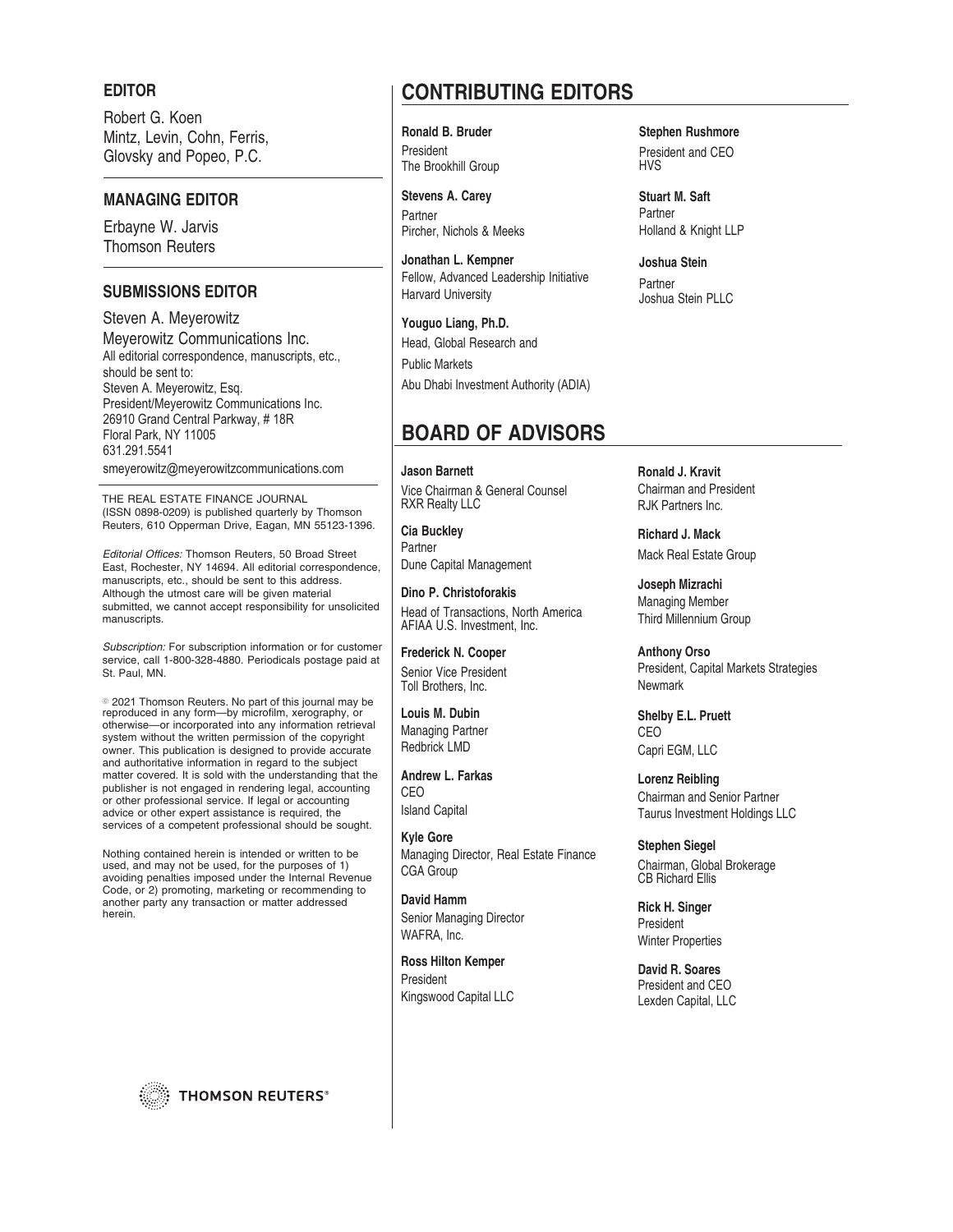### **EDITOR**

Robert G. Koen Mintz, Levin, Cohn, Ferris, Glovsky and Popeo, P.C.

# **MANAGING EDITOR**

Erbayne W. Jarvis Thomson Reuters

# **SUBMISSIONS EDITOR**

Steven A. Meyerowitz Meyerowitz Communications Inc. All editorial correspondence, manuscripts, etc., should be sent to: Steven A. Meyerowitz, Esq. President/Meyerowitz Communications Inc. 26910 Grand Central Parkway, #18R Floral Park, NY 11005 631.291.5541

smeyerowitz@meyerowitzcommunications.com

THE REAL ESTATE FINANCE JOURNAL (ISSN 0898-0209) is published quarterly by Thomson Reuters, 610 Opperman Drive, Eagan, MN 55123-1396.

Editorial Offices: Thomson Reuters, 50 Broad Street East, Rochester, NY 14694. All editorial correspondence, manuscripts, etc., should be sent to this address. Although the utmost care will be given material submitted, we cannot accept responsibility for unsolicited manuscripts.

Subscription: For subscription information or for customer service, call 1-800-328-4880. Periodicals postage paid at St. Paul, MN.

© 2021 Thomson Reuters. No part of this journal may be reproduced in any form—by microfilm, xerography, or otherwise—or incorporated into any information retrieval system without the written permission of the copyright owner. This publication is designed to provide accurate and authoritative information in regard to the subject matter covered. It is sold with the understanding that the publisher is not engaged in rendering legal, accounting or other professional service. If legal or accounting advice or other expert assistance is required, the services of a competent professional should be sought.

Nothing contained herein is intended or written to be used, and may not be used, for the purposes of 1) avoiding penalties imposed under the Internal Revenue Code, or 2) promoting, marketing or recommending to another party any transaction or matter addressed herein.

**THOMSON REUTERS®** 

# **CONTRIBUTING EDITORS**

**Ronald B. Bruder Stephen Rushmore** President The Brookhill Group

**Stevens A. Carey** Partner Pircher, Nichols & Meeks

**Jonathan L. Kempner** Fellow, Advanced Leadership Initiative Harvard University

**Youguo Liang, Ph.D.** Head, Global Research and Public Markets Abu Dhabi Investment Authority (ADIA)

# **BOARD OF ADVISORS**

**Jason Barnett** Vice Chairman & General Counsel RXR Realty LLC

**Cia Buckley** Partner Dune Capital Management

**Dino P. Christoforakis** Head of Transactions, North America AFIAA U.S. Investment, Inc.

**Frederick N. Cooper** Senior Vice President Toll Brothers, Inc.

**Louis M. Dubin** Managing Partner Redbrick LMD

**Andrew L. Farkas** CEO Island Capital

**Kyle Gore** Managing Director, Real Estate Finance CGA Group

**David Hamm** Senior Managing Director WAFRA, Inc.

**Ross Hilton Kemper** President Kingswood Capital LLC

President and CEO HVS

**Stuart M. Saft** Partner Holland & Knight LLP

**Joshua Stein** Partner Joshua Stein PLLC

**Ronald J. Kravit** Chairman and President RJK Partners Inc.

**Richard J. Mack** Mack Real Estate Group

**Joseph Mizrachi** Managing Member Third Millennium Group

**Anthony Orso** President, Capital Markets Strategies **Newmark** 

**Shelby E.L. Pruett** CEO Capri EGM, LLC

**Lorenz Reibling** Chairman and Senior Partner Taurus Investment Holdings LLC

**Stephen Siegel** Chairman, Global Brokerage CB Richard Ellis

**Rick H. Singer** President Winter Properties

**David R. Soares** President and CEO Lexden Capital, LLC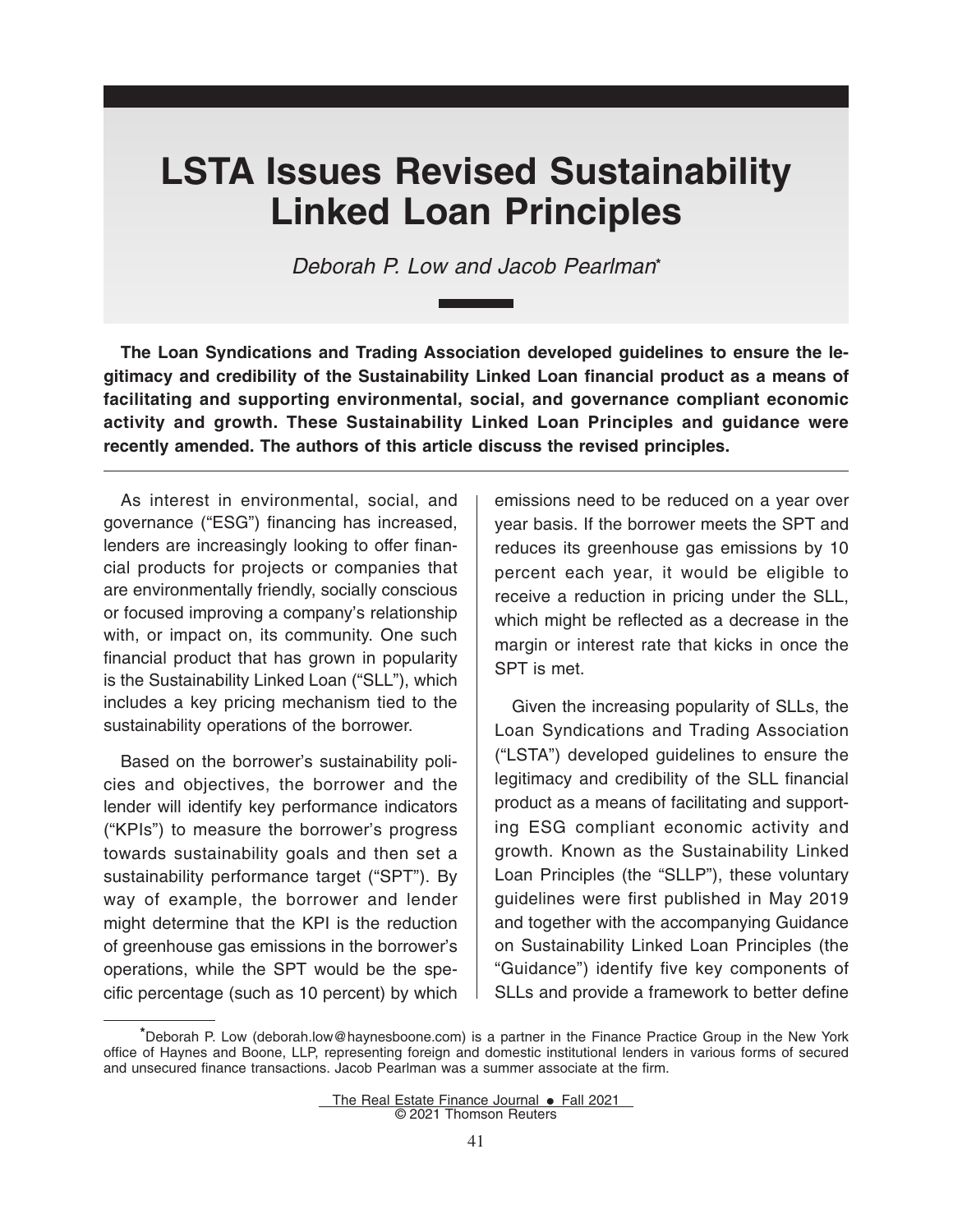# **LSTA Issues Revised Sustainability Linked Loan Principles**

*Deborah P. Low and Jacob Pearlman***\***

**The Loan Syndications and Trading Association developed guidelines to ensure the legitimacy and credibility of the Sustainability Linked Loan financial product as a means of facilitating and supporting environmental, social, and governance compliant economic activity and growth. These Sustainability Linked Loan Principles and guidance were recently amended. The authors of this article discuss the revised principles.**

As interest in environmental, social, and governance ("ESG") financing has increased, lenders are increasingly looking to offer financial products for projects or companies that are environmentally friendly, socially conscious or focused improving a company's relationship with, or impact on, its community. One such financial product that has grown in popularity is the Sustainability Linked Loan ("SLL"), which includes a key pricing mechanism tied to the sustainability operations of the borrower.

Based on the borrower's sustainability policies and objectives, the borrower and the lender will identify key performance indicators ("KPIs") to measure the borrower's progress towards sustainability goals and then set a sustainability performance target ("SPT"). By way of example, the borrower and lender might determine that the KPI is the reduction of greenhouse gas emissions in the borrower's operations, while the SPT would be the specific percentage (such as 10 percent) by which

emissions need to be reduced on a year over year basis. If the borrower meets the SPT and reduces its greenhouse gas emissions by 10 percent each year, it would be eligible to receive a reduction in pricing under the SLL, which might be reflected as a decrease in the margin or interest rate that kicks in once the SPT is met.

Given the increasing popularity of SLLs, the Loan Syndications and Trading Association ("LSTA") developed guidelines to ensure the legitimacy and credibility of the SLL financial product as a means of facilitating and supporting ESG compliant economic activity and growth. Known as the Sustainability Linked Loan Principles (the "SLLP"), these voluntary guidelines were first published in May 2019 and together with the accompanying Guidance on Sustainability Linked Loan Principles (the "Guidance") identify five key components of SLLs and provide a framework to better define

**<sup>\*</sup>**Deborah P. Low (deborah.low@haynesboone.com) is a partner in the Finance Practice Group in the New York office of Haynes and Boone, LLP, representing foreign and domestic institutional lenders in various forms of secured and unsecured finance transactions. Jacob Pearlman was a summer associate at the firm.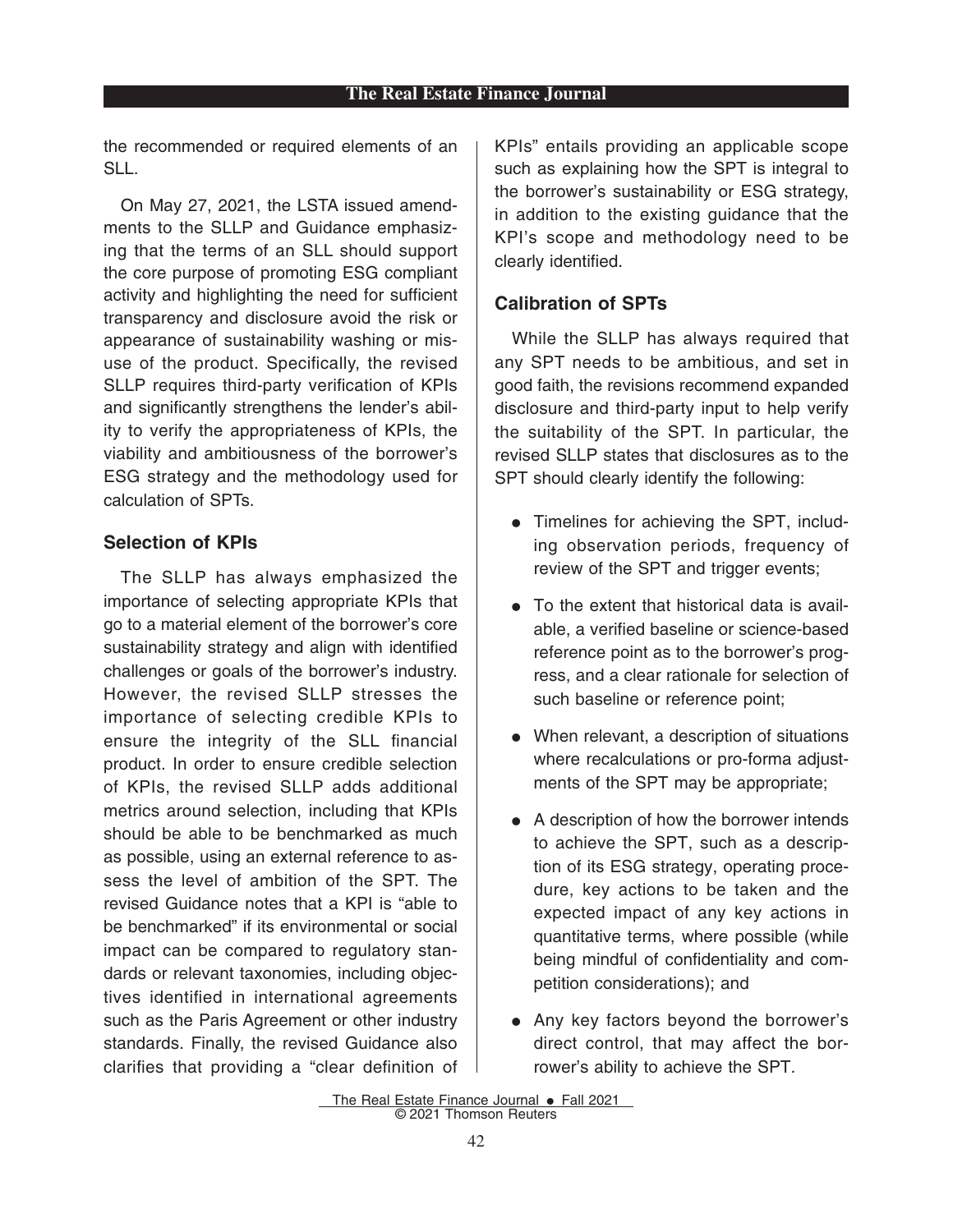the recommended or required elements of an SLL.

On May 27, 2021, the LSTA issued amendments to the SLLP and Guidance emphasizing that the terms of an SLL should support the core purpose of promoting ESG compliant activity and highlighting the need for sufficient transparency and disclosure avoid the risk or appearance of sustainability washing or misuse of the product. Specifically, the revised SLLP requires third-party verification of KPIs and significantly strengthens the lender's ability to verify the appropriateness of KPIs, the viability and ambitiousness of the borrower's ESG strategy and the methodology used for calculation of SPTs.

# **Selection of KPIs**

The SLLP has always emphasized the importance of selecting appropriate KPIs that go to a material element of the borrower's core sustainability strategy and align with identified challenges or goals of the borrower's industry. However, the revised SLLP stresses the importance of selecting credible KPIs to ensure the integrity of the SLL financial product. In order to ensure credible selection of KPIs, the revised SLLP adds additional metrics around selection, including that KPIs should be able to be benchmarked as much as possible, using an external reference to assess the level of ambition of the SPT. The revised Guidance notes that a KPI is "able to be benchmarked" if its environmental or social impact can be compared to regulatory standards or relevant taxonomies, including objectives identified in international agreements such as the Paris Agreement or other industry standards. Finally, the revised Guidance also clarifies that providing a "clear definition of KPIs" entails providing an applicable scope such as explaining how the SPT is integral to the borrower's sustainability or ESG strategy, in addition to the existing guidance that the KPI's scope and methodology need to be clearly identified.

# **Calibration of SPTs**

While the SLLP has always required that any SPT needs to be ambitious, and set in good faith, the revisions recommend expanded disclosure and third-party input to help verify the suitability of the SPT. In particular, the revised SLLP states that disclosures as to the SPT should clearly identify the following:

- Timelines for achieving the SPT, including observation periods, frequency of review of the SPT and trigger events;
- To the extent that historical data is available, a verified baseline or science-based reference point as to the borrower's progress, and a clear rationale for selection of such baseline or reference point;
- When relevant, a description of situations where recalculations or pro-forma adjustments of the SPT may be appropriate;
- A description of how the borrower intends to achieve the SPT, such as a description of its ESG strategy, operating procedure, key actions to be taken and the expected impact of any key actions in quantitative terms, where possible (while being mindful of confidentiality and competition considerations); and
- Any key factors beyond the borrower's direct control, that may affect the borrower's ability to achieve the SPT.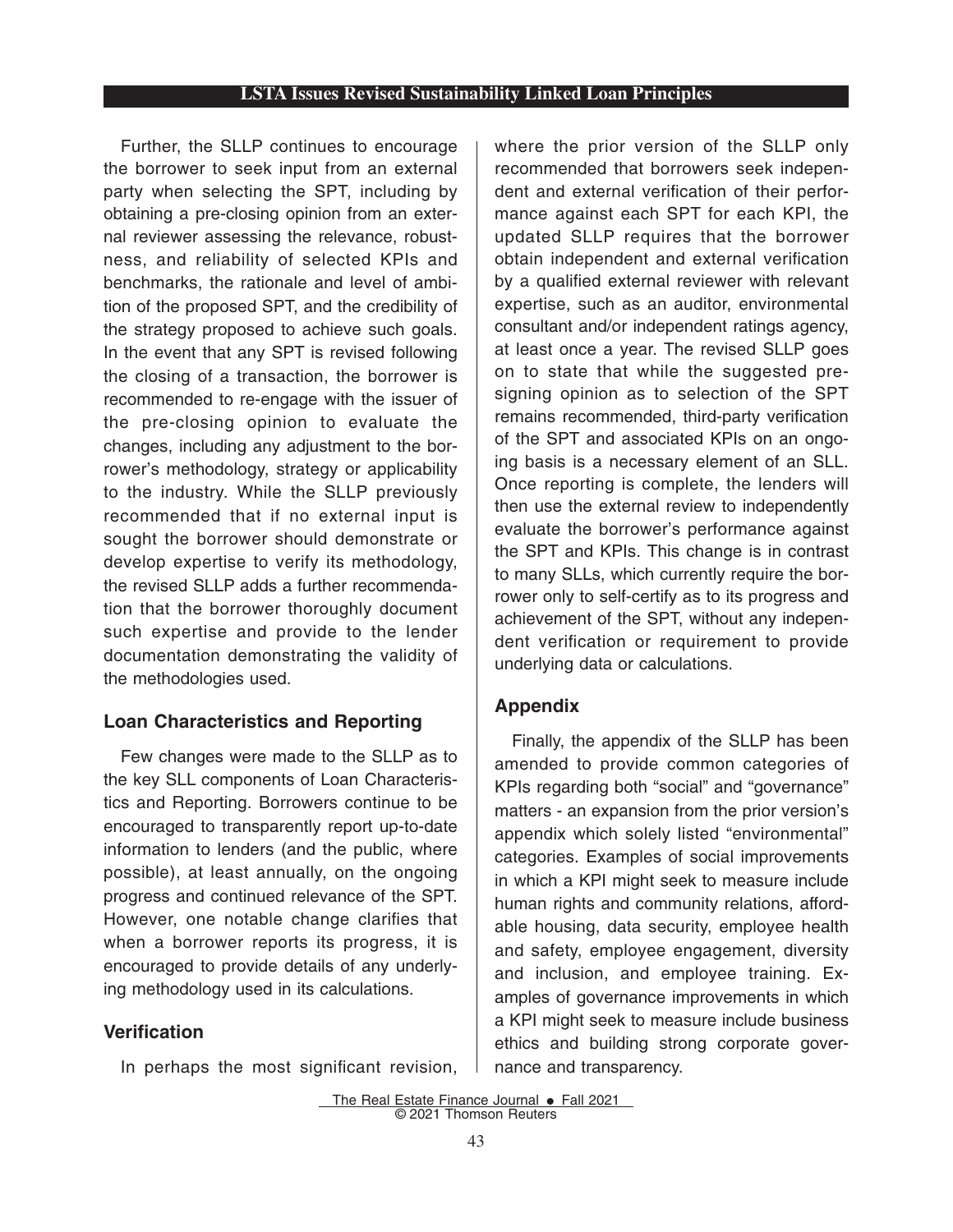# **LSTA Issues Revised Sustainability Linked Loan Principles**

Further, the SLLP continues to encourage the borrower to seek input from an external party when selecting the SPT, including by obtaining a pre-closing opinion from an external reviewer assessing the relevance, robustness, and reliability of selected KPIs and benchmarks, the rationale and level of ambition of the proposed SPT, and the credibility of the strategy proposed to achieve such goals. In the event that any SPT is revised following the closing of a transaction, the borrower is recommended to re-engage with the issuer of the pre-closing opinion to evaluate the changes, including any adjustment to the borrower's methodology, strategy or applicability to the industry. While the SLLP previously recommended that if no external input is sought the borrower should demonstrate or develop expertise to verify its methodology, the revised SLLP adds a further recommendation that the borrower thoroughly document such expertise and provide to the lender documentation demonstrating the validity of the methodologies used.

# **Loan Characteristics and Reporting**

Few changes were made to the SLLP as to the key SLL components of Loan Characteristics and Reporting. Borrowers continue to be encouraged to transparently report up-to-date information to lenders (and the public, where possible), at least annually, on the ongoing progress and continued relevance of the SPT. However, one notable change clarifies that when a borrower reports its progress, it is encouraged to provide details of any underlying methodology used in its calculations.

# **Verification**

In perhaps the most significant revision,

where the prior version of the SLLP only recommended that borrowers seek independent and external verification of their performance against each SPT for each KPI, the updated SLLP requires that the borrower obtain independent and external verification by a qualified external reviewer with relevant expertise, such as an auditor, environmental consultant and/or independent ratings agency, at least once a year. The revised SLLP goes on to state that while the suggested presigning opinion as to selection of the SPT remains recommended, third-party verification of the SPT and associated KPIs on an ongoing basis is a necessary element of an SLL. Once reporting is complete, the lenders will then use the external review to independently evaluate the borrower's performance against the SPT and KPIs. This change is in contrast to many SLLs, which currently require the borrower only to self-certify as to its progress and achievement of the SPT, without any independent verification or requirement to provide underlying data or calculations.

# **Appendix**

Finally, the appendix of the SLLP has been amended to provide common categories of KPIs regarding both "social" and "governance" matters - an expansion from the prior version's appendix which solely listed "environmental" categories. Examples of social improvements in which a KPI might seek to measure include human rights and community relations, affordable housing, data security, employee health and safety, employee engagement, diversity and inclusion, and employee training. Examples of governance improvements in which a KPI might seek to measure include business ethics and building strong corporate governance and transparency.